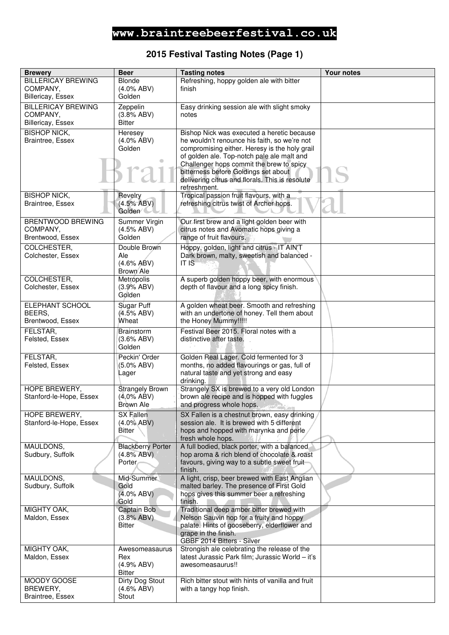### **2015 Festival Tasting Notes (Page 1)**

| <b>Brewery</b>             | <b>Beer</b>                 | <b>Tasting notes</b>                                                                    | Your notes |
|----------------------------|-----------------------------|-----------------------------------------------------------------------------------------|------------|
| <b>BILLERICAY BREWING</b>  | Blonde                      | Refreshing, hoppy golden ale with bitter                                                |            |
| COMPANY,                   | $(4.0\%$ ABV)               | finish                                                                                  |            |
| <b>Billericay, Essex</b>   | Golden                      |                                                                                         |            |
| <b>BILLERICAY BREWING</b>  | Zeppelin                    | Easy drinking session ale with slight smoky                                             |            |
| COMPANY,                   | (3.8% ABV)                  | notes                                                                                   |            |
| <b>Billericay, Essex</b>   | Bitter                      |                                                                                         |            |
| <b>BISHOP NICK,</b>        | Heresey                     | Bishop Nick was executed a heretic because                                              |            |
| Braintree, Essex           | $(4.0\%$ ABV)               | he wouldn't renounce his faith, so we're not                                            |            |
|                            | Golden                      | compromising either. Heresy is the holy grail                                           |            |
|                            | $\qquad \qquad \bullet$     | of golden ale. Top-notch pale ale malt and                                              |            |
|                            |                             | Challenger hops commit the brew to spicy                                                |            |
|                            | sra                         | bitterness before Goldings set about                                                    |            |
|                            |                             | delivering citrus and florals. This is resolute<br>refreshment.                         |            |
| <b>BISHOP NICK,</b>        | Revelry                     | Tropical passion fruit flavours, with a                                                 |            |
| Braintree, Essex           | (4.5% ABV)                  | refreshing citrus twist of Archer hops.                                                 |            |
|                            | Golden <sup>/</sup>         |                                                                                         |            |
| <b>BRENTWOOD BREWING</b>   | Summer Virgin               | Our first brew and a light golden beer with                                             |            |
| COMPANY,                   | (4.5% ABV)                  | citrus notes and Avomatic hops giving a                                                 |            |
| Brentwood, Essex           | Golden                      | range of fruit flavours.                                                                |            |
| COLCHESTER,                | Double Brown                | Hoppy, golden, light and citrus - IT AIN'T                                              |            |
| Colchester, Essex          | Ale                         | Dark brown, malty, sweetish and balanced -                                              |            |
|                            | $(4.6\%$ ABV)               | IT IS                                                                                   |            |
|                            | Brown Ale                   |                                                                                         |            |
| COLCHESTER,                | Metrópolis                  | A superb golden hoppy beer, with enormous                                               |            |
| Colchester, Essex          | (3.9% ABV)                  | depth of flavour and a long spicy finish.                                               |            |
|                            | Golden                      |                                                                                         |            |
| ELEPHANT SCHOOL            | Sugar Puff                  | A golden wheat beer. Smooth and refreshing                                              |            |
| BEERS,                     | (4.5% ABV)                  | with an undertone of honey. Tell them about                                             |            |
| Brentwood, Essex           | Wheat                       | the Honey Mummy!!!!!                                                                    |            |
| FELSTAR,                   | <b>Brainstorm</b>           | Festival Beer 2015. Floral notes with a                                                 |            |
| Felsted, Essex             | $(3.6\%$ ABV)<br>Golden     | distinctive after taste.                                                                |            |
|                            |                             |                                                                                         |            |
| FELSTAR,<br>Felsted, Essex | Peckin' Order<br>(5.0% ABV) | Golden Real Lager. Cold fermented for 3<br>months, no added flavourings or gas, full of |            |
|                            | Lager                       | natural taste and yet strong and easy                                                   |            |
|                            |                             | drinking.                                                                               |            |
| HOPE BREWERY,              | <b>Strangely Brown</b>      | Strangely SX is brewed to a very old London                                             |            |
| Stanford-le-Hope, Essex    | $(4.0\%$ ABV)               | brown ale recipe and is hopped with fuggles                                             |            |
|                            | Brown Ale                   | and progress whole hops.                                                                |            |
| HOPE BREWERY,              | SX Fallen                   | SX Fallen is a chestnut brown, easy drinking                                            |            |
| Stanford-le-Hope, Essex    | $(4.0\% ABV)$               | session ale. It is brewed with 5 different                                              |            |
|                            | Bitter                      | hops and hopped with marynka and perle<br>fresh whole hops.                             |            |
| MAULDONS,                  | <b>Blackberry Porter</b>    | A full bodied, black porter, with a balanced                                            |            |
| Sudbury, Suffolk           | (4.8% ABV)                  | hop aroma & rich blend of chocolate & roast                                             |            |
|                            | Porter                      | favours, giving way to a subtle sweet fruit-                                            |            |
|                            |                             | finish.                                                                                 |            |
| MAULDONS,                  | Mid-Summer                  | A light, crisp, beer brewed with East Anglian                                           |            |
| Sudbury, Suffolk           | Gold                        | malted barley. The presence of First Gold                                               |            |
|                            | $(4.0\%$ ABV)<br>Gold       | hops gives this summer beer a refreshing<br>finish.                                     |            |
| MIGHTY OAK,                | Captain Bob                 | Traditional deep amber bitter brewed with                                               |            |
| Maldon, Essex              | (3.8% ABV)                  | Nelson Sauvin hop for a fruity and hoppy                                                |            |
|                            | <b>Bitter</b>               | palate. Hints of gooseberry, elderflower and                                            |            |
|                            |                             | grape in the finish.                                                                    |            |
|                            |                             | GBBF 2014 Bitters - Silver                                                              |            |
| MIGHTY OAK,                | Awesomeasaurus              | Strongish ale celebrating the release of the                                            |            |
| Maldon, Essex              | Rex                         | latest Jurassic Park film; Jurassic World - it's                                        |            |
|                            | (4.9% ABV)<br>Bitter        | awesomeasaurus!!                                                                        |            |
| MOODY GOOSE                | <b>Dirty Dog Stout</b>      | Rich bitter stout with hints of vanilla and fruit                                       |            |
| BREWERY,                   | (4.6% ABV)                  | with a tangy hop finish.                                                                |            |
| Braintree, Essex           | Stout                       |                                                                                         |            |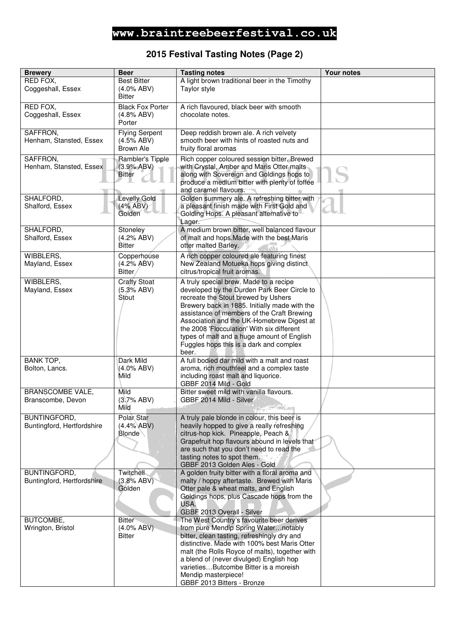#### **2015 Festival Tasting Notes (Page 2)**

| <b>Brewery</b>                                    | <b>Beer</b>                                          | <b>Tasting notes</b>                                                                                                                                                                                                                                                                                                                                                                                                     | Your notes |
|---------------------------------------------------|------------------------------------------------------|--------------------------------------------------------------------------------------------------------------------------------------------------------------------------------------------------------------------------------------------------------------------------------------------------------------------------------------------------------------------------------------------------------------------------|------------|
| RED FOX,<br>Coggeshall, Essex                     | <b>Best Bitter</b><br>$(4.0\%$ ABV)<br><b>Bitter</b> | A light brown traditional beer in the Timothy<br>Taylor style                                                                                                                                                                                                                                                                                                                                                            |            |
| RED FOX,<br>Coggeshall, Essex                     | <b>Black Fox Porter</b><br>$(4.8\%$ ABV)<br>Porter   | A rich flavoured, black beer with smooth<br>chocolate notes.                                                                                                                                                                                                                                                                                                                                                             |            |
| SAFFRON,<br>Henham, Stansted, Essex               | <b>Flying Serpent</b><br>(4.5% ABV)<br>Brown Ale     | Deep reddish brown ale. A rich velvety<br>smooth beer with hints of roasted nuts and<br>fruity floral aromas                                                                                                                                                                                                                                                                                                             |            |
| SAFFRON,<br>Henham, Stansted, Essex               | Rambler's Tipple<br>(3.9% ABV)<br><b>Bitter</b>      | Rich copper coloured session bitter. Brewed<br>with Crystal, Amber and Maris Otter malts<br>along with Sovereign and Goldings hops to<br>produce a medium bitter with plenty of toffee<br>and caramel flavours.                                                                                                                                                                                                          |            |
| SHALFORD,<br>Shalford, Essex                      | <b>Levelly Gold</b><br>(4% ABV)<br>Golden            | Golden summery ale. A refreshing bitter with<br>a pleasant finish made with First Gold and<br>Golding Hops. A pleasant alternative to<br>Lager.                                                                                                                                                                                                                                                                          |            |
| SHALFORD,<br>Shalford, Essex                      | Stoneley<br>(4.2% ABV)<br>Bitter                     | A medium brown bitter, well balanced flavour<br>of malt and hops. Made with the best Maris<br>otter malted Barley.                                                                                                                                                                                                                                                                                                       |            |
| WIBBLERS,<br>Mayland, Essex                       | Copperhouse<br>(4.2% ABV)<br>Bitter                  | A rich copper coloured ale featuring finest<br>New Zealand Motueka hops giving distinct<br>citrus/tropical fruit aromas.                                                                                                                                                                                                                                                                                                 |            |
| WIBBLERS,<br>Mayland, Essex                       | <b>Crafty Stoat</b><br>(5.3% ABV)<br>Stout           | A truly special brew. Made to a recipe<br>developed by the Durden Park Beer Circle to<br>recreate the Stout brewed by Ushers<br>Brewery back in 1885. Initially made with the<br>assistance of members of the Craft Brewing<br>Association and the UK-Homebrew Digest at<br>the 2008 'Flocculation' With six different<br>types of malt and a huge amount of English<br>Fuggles hops this is a dark and complex<br>beer. |            |
| <b>BANK TOP,</b><br>Bolton, Lancs.                | Dark Mild<br>(4.0% ABV)<br>Mild                      | A full bodied dar mild with a malt and roast<br>aroma, rich mouthfeel and a complex taste<br>including roast malt and liquorice.<br>GBBF 2014 Mild - Gold                                                                                                                                                                                                                                                                |            |
| <b>BRANSCOMBE VALE,</b><br>Branscombe, Devon      | Mild<br>(3.7% ABV)<br>Mild                           | Bitter sweet mild with vanilla flavours.<br>GBBF 2014 Mild - Silver                                                                                                                                                                                                                                                                                                                                                      |            |
| <b>BUNTINGFORD,</b><br>Buntingford, Hertfordshire | Polar Star<br>(4.4% ABV)<br><b>Blonde</b>            | A truly pale blonde in colour, this beer is<br>heavily hopped to give a really refreshing<br>citrus-hop kick. Pineapple, Peach &<br>Grapefruit hop flavours abound in levels that<br>are such that you don't need to read the<br>tasting notes to spot them.<br>GBBF 2013 Golden Ales - Gold                                                                                                                             |            |
| BUNTINGFORD,<br>Buntingford, Hertfordshire        | Twitchell<br>(3.8% ABV)<br>Golden                    | A golden fruity bitter with a floral aroma and<br>malty / hoppy aftertaste. Brewed with Maris<br>Otter pale & wheat malts, and English<br>Goldings hops, plus Cascade hops from the<br>USA.<br>GBBF 2013 Overall - Silver                                                                                                                                                                                                |            |
| BUTCOMBE,<br>Wrington, Bristol                    | <b>Bitter</b><br>$(4.0\%$ ABV)<br><b>Bitter</b>      | The West Country's favourite beer derives<br>from pure Mendip Spring Waternotably<br>bitter, clean tasting, refreshingly dry and<br>distinctive. Made with 100% best Maris Otter<br>malt (the Rolls Royce of malts), together with<br>a blend of (never divulged) English hop<br>varietiesButcombe Bitter is a moreish<br>Mendip masterpiece!<br>GBBF 2013 Bitters - Bronze                                              |            |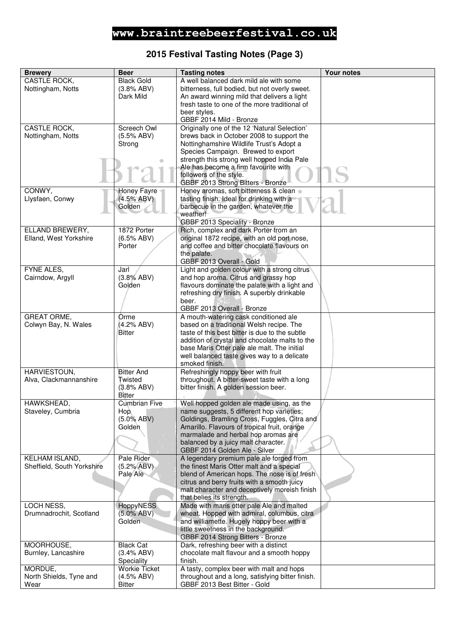#### **2015 Festival Tasting Notes (Page 3)**

| <b>Brewery</b>             | <b>Beer</b>          | <b>Tasting notes</b>                             | <b>Your notes</b> |
|----------------------------|----------------------|--------------------------------------------------|-------------------|
| CASTLE ROCK,               | <b>Black Gold</b>    | A well balanced dark mild ale with some          |                   |
| Nottingham, Notts          | (3.8% ABV)           | bitterness, full bodied, but not overly sweet.   |                   |
|                            | Dark Mild            |                                                  |                   |
|                            |                      | An award winning mild that delivers a light      |                   |
|                            |                      | fresh taste to one of the more traditional of    |                   |
|                            |                      | beer styles.                                     |                   |
|                            |                      | GBBF 2014 Mild - Bronze                          |                   |
| CASTLE ROCK,               | Screech Owl          | Originally one of the 12 'Natural Selection'     |                   |
| Nottingham, Notts          | (5.5% ABV)           | brews back in October 2008 to support the        |                   |
|                            | Strong               | Nottinghamshire Wildlife Trust's Adopt a         |                   |
|                            |                      | Species Campaign. Brewed to export               |                   |
|                            |                      | strength this strong well hopped India Pale      |                   |
|                            |                      | Ale has become a firm favourite with             |                   |
|                            |                      | followers of the style.                          |                   |
|                            |                      | GBBF 2013 Strong Bitters - Bronze                |                   |
| CONWY,                     | Honey Fayre          | Honey aromas, soft bitterness & clean .          |                   |
| Llysfaen, Conwy            | (4.5% ABV)           | tasting finish. Ideal for drinking with a        |                   |
|                            | Golden               | barbecue in the garden, whatever the             |                   |
|                            |                      | weather!                                         |                   |
|                            |                      | GBBF 2013 Speciality - Bronze                    |                   |
| ELLAND BREWERY,            | 1872 Porter          | Rich, complex and dark Porter from an            |                   |
| Elland, West Yorkshire     | (6.5% ABV)           | original 1872 recipe, with an old port nose,     |                   |
|                            | Porter               | and coffee and bitter chocolate flavours on      |                   |
|                            |                      | the palate.                                      |                   |
|                            |                      | GBBF 2013 Overall - Gold                         |                   |
| FYNE ALES,                 | Jarl                 | Light and golden colour with a strong citrus     |                   |
| Cairndow, Argyll           | (3.8% ABV)           | and hop aroma. Citrus and grassy hop             |                   |
|                            | Golden               | flavours dominate the palate with a light and    |                   |
|                            |                      | refreshing dry finish. A superbly drinkable      |                   |
|                            |                      |                                                  |                   |
|                            |                      | beer.                                            |                   |
|                            |                      | GBBF 2013 Overall - Bronze                       |                   |
| <b>GREAT ORME,</b>         | Orme                 | A mouth-watering cask conditioned ale            |                   |
| Colwyn Bay, N. Wales       | (4.2% ABV)           | based on a traditional Welsh recipe. The         |                   |
|                            | <b>Bitter</b>        | taste of this best bitter is due to the subtle   |                   |
|                            |                      | addition of crystal and chocolate malts to the   |                   |
|                            |                      | base Maris Otter pale ale malt. The initial      |                   |
|                            |                      | well balanced taste gives way to a delicate      |                   |
|                            |                      | smoked finish.                                   |                   |
| HARVIESTOUN,               | <b>Bitter And</b>    | Refreshingly hoppy beer with fruit               |                   |
| Alva, Clackmannanshire     | Twisted              | throughout. A bitter-sweet taste with a long     |                   |
|                            | (3.8% ABV)           | bitter finish. A golden session beer.            |                   |
|                            | <b>Bitter</b>        |                                                  |                   |
| HAWKSHEAD,                 | Cumbrian Five        | Well hopped golden ale made using, as the        |                   |
| Staveley, Cumbria          | Hop.                 | name suggests, 5 different hop varieties;        |                   |
|                            | $(5.0\% ABV)$        | Goldings, Bramling Cross, Fuggles, Citra and     |                   |
|                            | Golden               | Amarillo. Flavours of tropical fruit, orange     |                   |
|                            |                      | marmalade and herbal hop aromas are              |                   |
|                            |                      | balanced by a juicy malt character.              |                   |
|                            |                      | GBBF 2014 Golden Ale - Silver                    |                   |
| <b>KELHAM ISLAND,</b>      | Pale Rider           | A legendary premium pale ale forged from         |                   |
| Sheffield, South Yorkshire | (5.2% ABV)           | the finest Maris Otter malt and a special        |                   |
|                            | Pale Ale             | blend of American hops. The nose is of fresh     |                   |
|                            |                      | citrus and berry fruits with a smooth juicy      |                   |
|                            |                      | malt character and deceptively moreish finish    |                   |
|                            |                      | that belies its strength.                        |                   |
| LOCH NESS,                 | <b>HoppyNESS</b>     | Made with maris otter pale Ale and malted        |                   |
| Drumnadrochit, Scotland    | $(5.0\%$ ABV)        | wheat. Hopped with admiral, columbus, citra      |                   |
|                            | Golden               | and williamette. Hugely hoppy beer with a        |                   |
|                            |                      | little sweetness in the background.              |                   |
|                            |                      | GBBF 2014 Strong Bitters - Bronze                |                   |
| MOORHOUSE,                 | <b>Black Cat</b>     | Dark, refreshing beer with a distinct            |                   |
| Burnley, Lancashire        | (3.4% ABV)           | chocolate malt flavour and a smooth hoppy        |                   |
|                            | Speciality           | finish.                                          |                   |
| MORDUE,                    | <b>Workie Ticket</b> | A tasty, complex beer with malt and hops         |                   |
| North Shields, Tyne and    | (4.5% ABV)           | throughout and a long, satisfying bitter finish. |                   |
| Wear                       | <b>Bitter</b>        | GBBF 2013 Best Bitter - Gold                     |                   |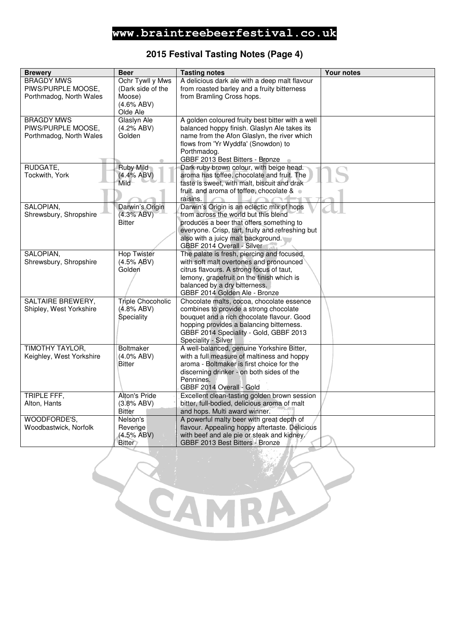### **2015 Festival Tasting Notes (Page 4)**

| <b>Brewery</b>           | <b>Beer</b>              | <b>Tasting notes</b>                                                                      | <b>Your notes</b> |
|--------------------------|--------------------------|-------------------------------------------------------------------------------------------|-------------------|
| <b>BRAGDY MWS</b>        | Ochr Tywll y Mws         | A delicious dark ale with a deep malt flavour                                             |                   |
| PIWS/PURPLE MOOSE,       | (Dark side of the        | from roasted barley and a fruity bitterness                                               |                   |
| Porthmadog, North Wales  | Moose)                   | from Bramling Cross hops.                                                                 |                   |
|                          | $(4.6\%$ ABV)            |                                                                                           |                   |
|                          | Olde Ale                 |                                                                                           |                   |
| <b>BRAGDY MWS</b>        | Glaslyn Ale              | A golden coloured fruity best bitter with a well                                          |                   |
| PIWS/PURPLE MOOSE,       | (4.2% ABV)               | balanced hoppy finish. Glaslyn Ale takes its                                              |                   |
| Porthmadog, North Wales  | Golden                   | name from the Afon Glaslyn, the river which                                               |                   |
|                          |                          | flows from 'Yr Wyddfa' (Snowdon) to                                                       |                   |
|                          |                          | Porthmadog.                                                                               |                   |
|                          |                          | GBBF 2013 Best Bitters - Bronze                                                           |                   |
| RUDGATE,                 | <b>Ruby Mild</b>         | Dark ruby brown colour, with beige head.                                                  |                   |
| Tockwith, York           | (4.4% ABV)<br>Mild       | aroma has toffee, chocolate and fruit. The<br>taste is sweet, with malt, biscuit and drak |                   |
|                          |                          | fruit. and aroma of toffee, chocolate & .                                                 |                   |
|                          |                          | ráisins.                                                                                  |                   |
| SALOPIAN,                | Darwin's Origin          | Darwin's Origin is an eclectic mix of hops                                                |                   |
| Shrewsbury, Shropshire   | (4.3% ABV)               | from across the world but this blend                                                      |                   |
|                          | <b>Bitter</b>            | produces a beer that offers something to                                                  |                   |
|                          |                          | everyone. Crisp, tart, fruity and refreshing but                                          |                   |
|                          |                          | also with a juicy malt background.                                                        |                   |
|                          |                          | GBBF 2014 Overall - Silver                                                                |                   |
| SALOPIAN,                | <b>Hop Twister</b>       | The palate is fresh, piercing and focused,                                                |                   |
| Shrewsbury, Shropshire   | (4.5% ABV)               | with soft malt overtones and pronounced                                                   |                   |
|                          | Golden                   | citrus flavours. A strong focus of taut,                                                  |                   |
|                          |                          | lemony, grapefruit on the finish which is                                                 |                   |
|                          |                          | balanced by a dry bitterness.                                                             |                   |
|                          |                          | GBBF 2014 Golden Ale - Bronze                                                             |                   |
| <b>SALTAIRE BREWERY,</b> | <b>Triple Chocoholic</b> | Chocolate malts, cocoa, chocolate essence                                                 |                   |
| Shipley, West Yorkshire  | $(4.8\%$ ABV)            | combines to provide a strong chocolate                                                    |                   |
|                          | Speciality               | bouquet and a rich chocolate flavour. Good                                                |                   |
|                          |                          | hopping provides a balancing bitterness.                                                  |                   |
|                          |                          | GBBF 2014 Speciality - Gold, GBBF 2013                                                    |                   |
| <b>TIMOTHY TAYLOR,</b>   | <b>Boltmaker</b>         | Speciality - Silver<br>A well-balanced, genuine Yorkshire Bitter,                         |                   |
| Keighley, West Yorkshire | $(4.0\%$ ABV)            | with a full measure of maltiness and hoppy                                                |                   |
|                          | <b>Bitter</b>            | aroma - Boltmaker is first choice for the                                                 |                   |
|                          |                          | discerning drinker - on both sides of the                                                 |                   |
|                          |                          | Pennines.                                                                                 |                   |
|                          |                          | GBBF 2014 Overall - Gold                                                                  |                   |
| TRIPLE FFF,              | Alton's Pride            | Excellent clean-tasting golden brown session                                              |                   |
| Alton, Hants             | (3.8% ABV)               | bitter, full-bodied, delicious aroma of malt                                              |                   |
|                          | <b>Bitter</b>            | and hops. Multi award winner.                                                             |                   |
| WOODFORDE'S.             | Nelson's                 | A powerful malty beer with great depth of                                                 |                   |
| Woodbastwick, Norfolk    | Revenge                  | flavour. Appealing hoppy aftertaste. Delicious                                            |                   |
|                          | (4.5% ABV)               | with beef and ale pie or steak and kidney.                                                |                   |
|                          | <b>Bitter</b>            | GBBF 2013 Best Bitters - Bronze                                                           |                   |
|                          |                          |                                                                                           |                   |

C